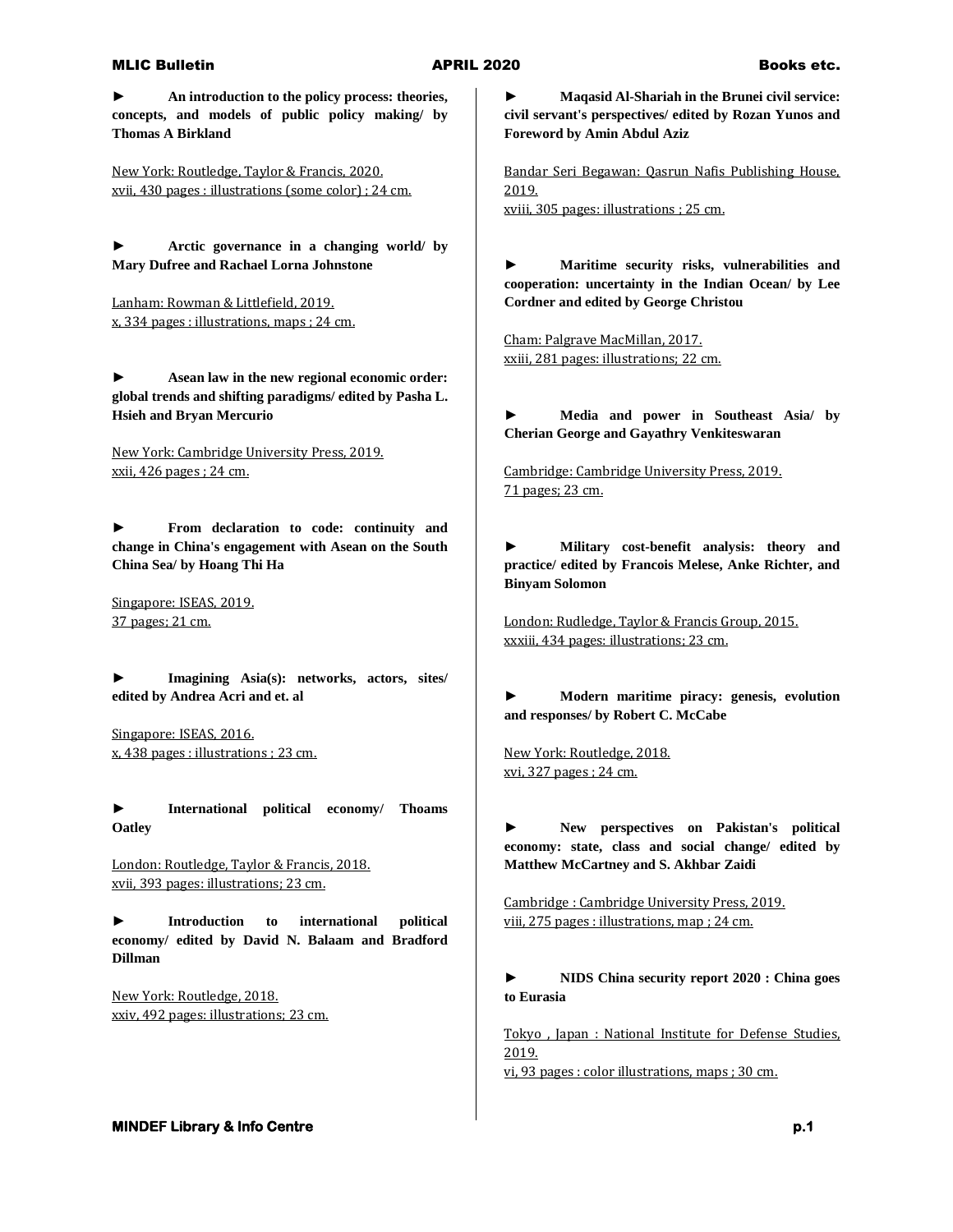## MLIC Bulletin **APRIL 2020** Books etc.

**► An introduction to the policy process: theories, concepts, and models of public policy making/ by Thomas A Birkland**

New York: Routledge, Taylor & Francis, 2020. xvii, 430 pages : illustrations (some color) ; 24 cm.

**► Arctic governance in a changing world/ by Mary Dufree and Rachael Lorna Johnstone**

Lanham: Rowman & Littlefield, 2019. x, 334 pages : illustrations, maps ; 24 cm.

**► Asean law in the new regional economic order: global trends and shifting paradigms/ edited by Pasha L. Hsieh and Bryan Mercurio**

New York: Cambridge University Press, 2019. xxii, 426 pages ; 24 cm.

**► From declaration to code: continuity and change in China's engagement with Asean on the South China Sea/ by Hoang Thi Ha**

Singapore: ISEAS, 2019. 37 pages; 21 cm.

**► Imagining Asia(s): networks, actors, sites/ edited by Andrea Acri and et. al**

Singapore: ISEAS, 2016. x, 438 pages : illustrations ; 23 cm.

**► International political economy/ Thoams Oatley**

London: Routledge, Taylor & Francis, 2018. xvii, 393 pages: illustrations; 23 cm.

**► Introduction to international political economy/ edited by David N. Balaam and Bradford Dillman**

New York: Routledge, 2018. xxiv, 492 pages: illustrations; 23 cm. **► Maqasid Al-Shariah in the Brunei civil service: civil servant's perspectives/ edited by Rozan Yunos and Foreword by Amin Abdul Aziz**

Bandar Seri Begawan: Qasrun Nafis Publishing House, 2019. xviii, 305 pages: illustrations ; 25 cm.

**► Maritime security risks, vulnerabilities and cooperation: uncertainty in the Indian Ocean/ by Lee Cordner and edited by George Christou**

Cham: Palgrave MacMillan, 2017. xxiii, 281 pages: illustrations; 22 cm.

**► Media and power in Southeast Asia/ by Cherian George and Gayathry Venkiteswaran**

Cambridge: Cambridge University Press, 2019. 71 pages; 23 cm.

**► Military cost-benefit analysis: theory and practice/ edited by Francois Melese, Anke Richter, and Binyam Solomon**

London: Rudledge, Taylor & Francis Group, 2015. xxxiii, 434 pages: illustrations; 23 cm.

**► Modern maritime piracy: genesis, evolution and responses/ by Robert C. McCabe**

New York: Routledge, 2018. xvi, 327 pages ; 24 cm.

**► New perspectives on Pakistan's political economy: state, class and social change/ edited by Matthew McCartney and S. Akhbar Zaidi**

Cambridge : Cambridge University Press, 2019. viii, 275 pages : illustrations, map ; 24 cm.

**► NIDS China security report 2020 : China goes to Eurasia**

Tokyo , Japan : National Institute for Defense Studies, 2019.

vi, 93 pages : color illustrations, maps ; 30 cm.

**MINDEF Library & Info Centre p.1** *p.1* **<b>p.1** *p.1*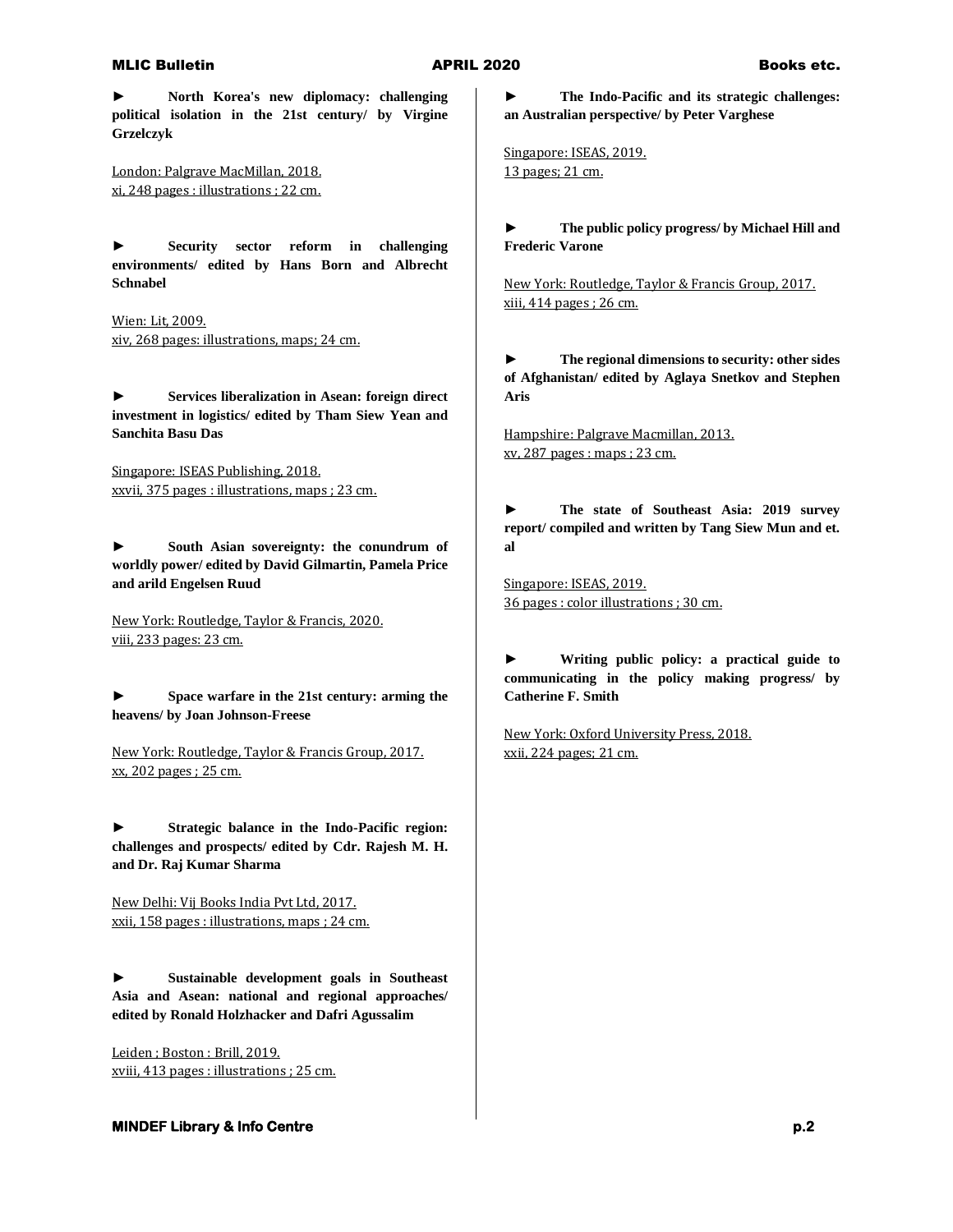## MLIC Bulletin **APRIL 2020** Books etc.

**► North Korea's new diplomacy: challenging political isolation in the 21st century/ by Virgine Grzelczyk**

London: Palgrave MacMillan, 2018. xi, 248 pages : illustrations ; 22 cm.

**► Security sector reform in challenging environments/ edited by Hans Born and Albrecht Schnabel**

Wien: Lit, 2009. xiv, 268 pages: illustrations, maps; 24 cm.

**► Services liberalization in Asean: foreign direct investment in logistics/ edited by Tham Siew Yean and Sanchita Basu Das**

Singapore: ISEAS Publishing, 2018. xxvii, 375 pages : illustrations, maps ; 23 cm.

**► South Asian sovereignty: the conundrum of worldly power/ edited by David Gilmartin, Pamela Price and arild Engelsen Ruud**

New York: Routledge, Taylor & Francis, 2020. viii, 233 pages: 23 cm.

**► Space warfare in the 21st century: arming the heavens/ by Joan Johnson-Freese**

New York: Routledge, Taylor & Francis Group, 2017. xx, 202 pages ; 25 cm.

**► Strategic balance in the Indo-Pacific region: challenges and prospects/ edited by Cdr. Rajesh M. H. and Dr. Raj Kumar Sharma**

New Delhi: Vij Books India Pvt Ltd, 2017. xxii, 158 pages : illustrations, maps ; 24 cm.

**► Sustainable development goals in Southeast Asia and Asean: national and regional approaches/ edited by Ronald Holzhacker and Dafri Agussalim**

Leiden ; Boston : Brill, 2019. xviii, 413 pages : illustrations ; 25 cm. **► The Indo-Pacific and its strategic challenges: an Australian perspective/ by Peter Varghese**

Singapore: ISEAS, 2019. 13 pages; 21 cm.

**► The public policy progress/ by Michael Hill and Frederic Varone**

New York: Routledge, Taylor & Francis Group, 2017. xiii, 414 pages ; 26 cm.

**► The regional dimensions to security: other sides of Afghanistan/ edited by Aglaya Snetkov and Stephen Aris**

Hampshire: Palgrave Macmillan, 2013. xv, 287 pages : maps ; 23 cm.

**► The state of Southeast Asia: 2019 survey report/ compiled and written by Tang Siew Mun and et. al**

Singapore: ISEAS, 2019. 36 pages : color illustrations ; 30 cm.

**► Writing public policy: a practical guide to communicating in the policy making progress/ by Catherine F. Smith**

New York: Oxford University Press, 2018. xxii, 224 pages; 21 cm.

# **MINDEF Library & Info Centre** *p.2*